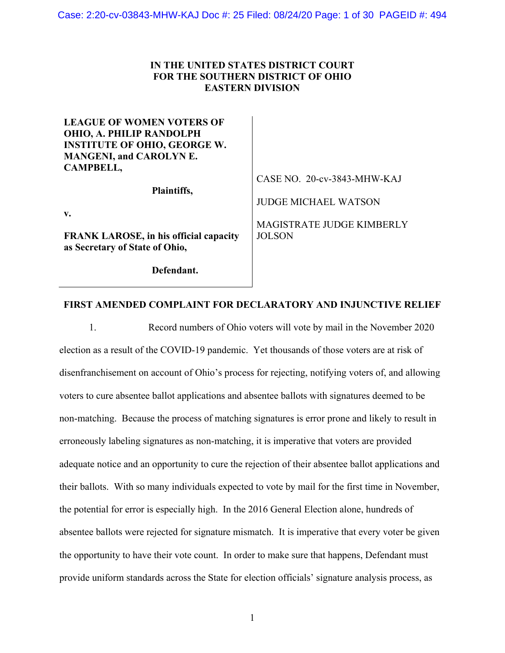## **IN THE UNITED STATES DISTRICT COURT FOR THE SOUTHERN DISTRICT OF OHIO EASTERN DIVISION**

| <b>LEAGUE OF WOMEN VOTERS OF</b>       |                             |
|----------------------------------------|-----------------------------|
| OHIO, A. PHILIP RANDOLPH               |                             |
| <b>INSTITUTE OF OHIO, GEORGE W.</b>    |                             |
| <b>MANGENI, and CAROLYN E.</b>         |                             |
| <b>CAMPBELL,</b>                       |                             |
|                                        | CASE NO. 20-cv-3843-MHW-KAJ |
| Plaintiffs,                            |                             |
|                                        | <b>JUDGE MICHAEL WATSON</b> |
| $V_{\bullet}$                          |                             |
|                                        | MAGISTRATE JUDGE KIMBERLY   |
| FRANK LAROSE, in his official capacity | <b>JOLSON</b>               |
| as Secretary of State of Ohio,         |                             |
|                                        |                             |
| Defendant.                             |                             |

## **FIRST AMENDED COMPLAINT FOR DECLARATORY AND INJUNCTIVE RELIEF**

1. Record numbers of Ohio voters will vote by mail in the November 2020 election as a result of the COVID-19 pandemic. Yet thousands of those voters are at risk of disenfranchisement on account of Ohio's process for rejecting, notifying voters of, and allowing voters to cure absentee ballot applications and absentee ballots with signatures deemed to be non-matching. Because the process of matching signatures is error prone and likely to result in erroneously labeling signatures as non-matching, it is imperative that voters are provided adequate notice and an opportunity to cure the rejection of their absentee ballot applications and their ballots. With so many individuals expected to vote by mail for the first time in November, the potential for error is especially high. In the 2016 General Election alone, hundreds of absentee ballots were rejected for signature mismatch. It is imperative that every voter be given the opportunity to have their vote count. In order to make sure that happens, Defendant must provide uniform standards across the State for election officials' signature analysis process, as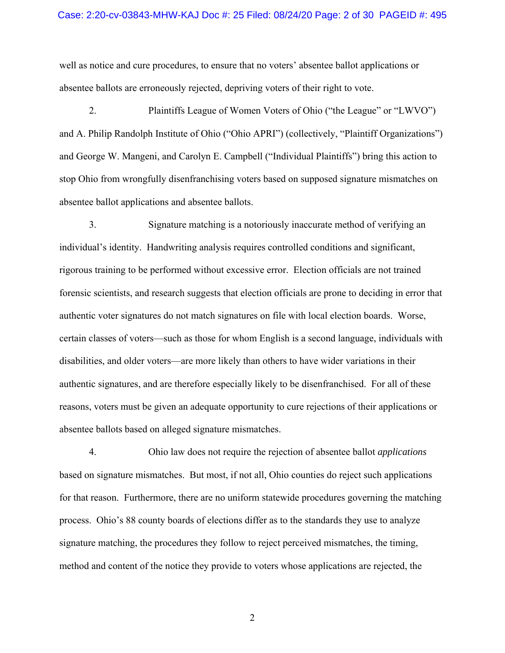#### Case: 2:20-cv-03843-MHW-KAJ Doc #: 25 Filed: 08/24/20 Page: 2 of 30 PAGEID #: 495

well as notice and cure procedures, to ensure that no voters' absentee ballot applications or absentee ballots are erroneously rejected, depriving voters of their right to vote.

2. Plaintiffs League of Women Voters of Ohio ("the League" or "LWVO") and A. Philip Randolph Institute of Ohio ("Ohio APRI") (collectively, "Plaintiff Organizations") and George W. Mangeni, and Carolyn E. Campbell ("Individual Plaintiffs") bring this action to stop Ohio from wrongfully disenfranchising voters based on supposed signature mismatches on absentee ballot applications and absentee ballots.

3. Signature matching is a notoriously inaccurate method of verifying an individual's identity. Handwriting analysis requires controlled conditions and significant, rigorous training to be performed without excessive error. Election officials are not trained forensic scientists, and research suggests that election officials are prone to deciding in error that authentic voter signatures do not match signatures on file with local election boards. Worse, certain classes of voters—such as those for whom English is a second language, individuals with disabilities, and older voters—are more likely than others to have wider variations in their authentic signatures, and are therefore especially likely to be disenfranchised. For all of these reasons, voters must be given an adequate opportunity to cure rejections of their applications or absentee ballots based on alleged signature mismatches.

4. Ohio law does not require the rejection of absentee ballot *applications* based on signature mismatches. But most, if not all, Ohio counties do reject such applications for that reason. Furthermore, there are no uniform statewide procedures governing the matching process. Ohio's 88 county boards of elections differ as to the standards they use to analyze signature matching, the procedures they follow to reject perceived mismatches, the timing, method and content of the notice they provide to voters whose applications are rejected, the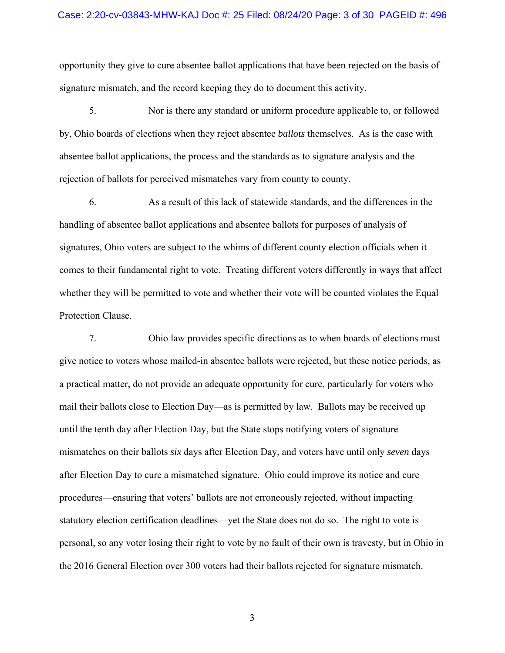#### Case: 2:20-cv-03843-MHW-KAJ Doc #: 25 Filed: 08/24/20 Page: 3 of 30 PAGEID #: 496

opportunity they give to cure absentee ballot applications that have been rejected on the basis of signature mismatch, and the record keeping they do to document this activity.

5. Nor is there any standard or uniform procedure applicable to, or followed by, Ohio boards of elections when they reject absentee *ballots* themselves. As is the case with absentee ballot applications, the process and the standards as to signature analysis and the rejection of ballots for perceived mismatches vary from county to county.

6. As a result of this lack of statewide standards, and the differences in the handling of absentee ballot applications and absentee ballots for purposes of analysis of signatures, Ohio voters are subject to the whims of different county election officials when it comes to their fundamental right to vote. Treating different voters differently in ways that affect whether they will be permitted to vote and whether their vote will be counted violates the Equal Protection Clause.

7. Ohio law provides specific directions as to when boards of elections must give notice to voters whose mailed-in absentee ballots were rejected, but these notice periods, as a practical matter, do not provide an adequate opportunity for cure, particularly for voters who mail their ballots close to Election Day—as is permitted by law. Ballots may be received up until the tenth day after Election Day, but the State stops notifying voters of signature mismatches on their ballots *six* days after Election Day, and voters have until only *seven* days after Election Day to cure a mismatched signature. Ohio could improve its notice and cure procedures—ensuring that voters' ballots are not erroneously rejected, without impacting statutory election certification deadlines—yet the State does not do so. The right to vote is personal, so any voter losing their right to vote by no fault of their own is travesty, but in Ohio in the 2016 General Election over 300 voters had their ballots rejected for signature mismatch.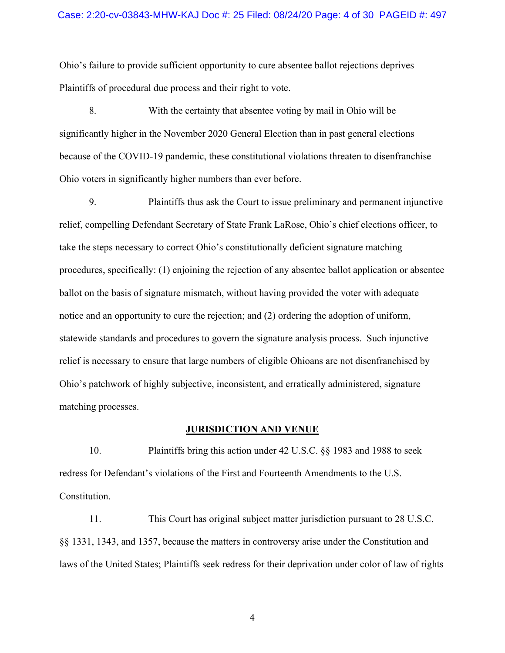#### Case: 2:20-cv-03843-MHW-KAJ Doc #: 25 Filed: 08/24/20 Page: 4 of 30 PAGEID #: 497

Ohio's failure to provide sufficient opportunity to cure absentee ballot rejections deprives Plaintiffs of procedural due process and their right to vote.

8. With the certainty that absentee voting by mail in Ohio will be significantly higher in the November 2020 General Election than in past general elections because of the COVID-19 pandemic, these constitutional violations threaten to disenfranchise Ohio voters in significantly higher numbers than ever before.

9. Plaintiffs thus ask the Court to issue preliminary and permanent injunctive relief, compelling Defendant Secretary of State Frank LaRose, Ohio's chief elections officer, to take the steps necessary to correct Ohio's constitutionally deficient signature matching procedures, specifically: (1) enjoining the rejection of any absentee ballot application or absentee ballot on the basis of signature mismatch, without having provided the voter with adequate notice and an opportunity to cure the rejection; and (2) ordering the adoption of uniform, statewide standards and procedures to govern the signature analysis process. Such injunctive relief is necessary to ensure that large numbers of eligible Ohioans are not disenfranchised by Ohio's patchwork of highly subjective, inconsistent, and erratically administered, signature matching processes.

#### **JURISDICTION AND VENUE**

10. Plaintiffs bring this action under 42 U.S.C. §§ 1983 and 1988 to seek redress for Defendant's violations of the First and Fourteenth Amendments to the U.S. Constitution.

11. This Court has original subject matter jurisdiction pursuant to 28 U.S.C. §§ 1331, 1343, and 1357, because the matters in controversy arise under the Constitution and laws of the United States; Plaintiffs seek redress for their deprivation under color of law of rights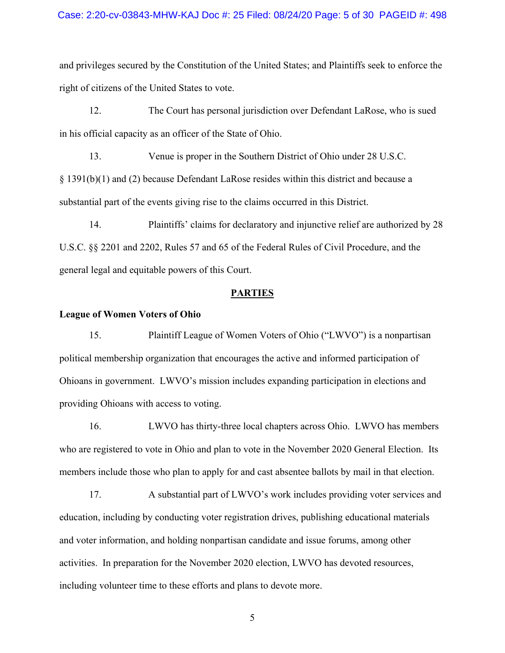### Case: 2:20-cv-03843-MHW-KAJ Doc #: 25 Filed: 08/24/20 Page: 5 of 30 PAGEID #: 498

and privileges secured by the Constitution of the United States; and Plaintiffs seek to enforce the right of citizens of the United States to vote.

12. The Court has personal jurisdiction over Defendant LaRose, who is sued in his official capacity as an officer of the State of Ohio.

13. Venue is proper in the Southern District of Ohio under 28 U.S.C. § 1391(b)(1) and (2) because Defendant LaRose resides within this district and because a substantial part of the events giving rise to the claims occurred in this District.

14. Plaintiffs' claims for declaratory and injunctive relief are authorized by 28 U.S.C. §§ 2201 and 2202, Rules 57 and 65 of the Federal Rules of Civil Procedure, and the general legal and equitable powers of this Court.

#### **PARTIES**

## **League of Women Voters of Ohio**

15. Plaintiff League of Women Voters of Ohio ("LWVO") is a nonpartisan political membership organization that encourages the active and informed participation of Ohioans in government. LWVO's mission includes expanding participation in elections and providing Ohioans with access to voting.

16. LWVO has thirty-three local chapters across Ohio. LWVO has members who are registered to vote in Ohio and plan to vote in the November 2020 General Election. Its members include those who plan to apply for and cast absentee ballots by mail in that election.

17. A substantial part of LWVO's work includes providing voter services and education, including by conducting voter registration drives, publishing educational materials and voter information, and holding nonpartisan candidate and issue forums, among other activities. In preparation for the November 2020 election, LWVO has devoted resources, including volunteer time to these efforts and plans to devote more.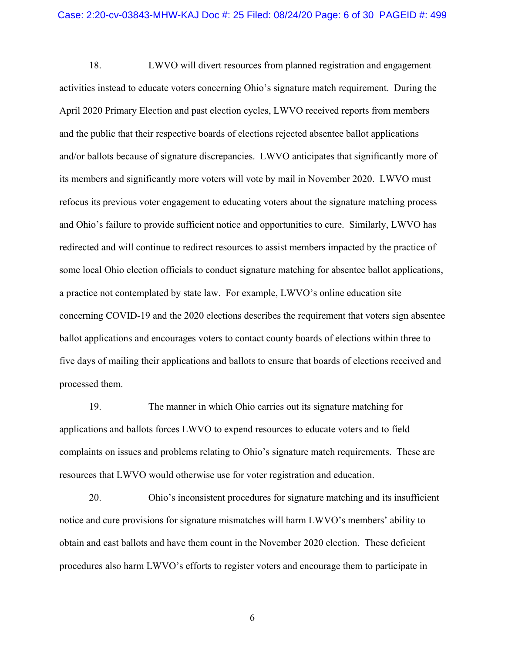18. LWVO will divert resources from planned registration and engagement activities instead to educate voters concerning Ohio's signature match requirement. During the April 2020 Primary Election and past election cycles, LWVO received reports from members and the public that their respective boards of elections rejected absentee ballot applications and/or ballots because of signature discrepancies. LWVO anticipates that significantly more of its members and significantly more voters will vote by mail in November 2020. LWVO must refocus its previous voter engagement to educating voters about the signature matching process and Ohio's failure to provide sufficient notice and opportunities to cure. Similarly, LWVO has redirected and will continue to redirect resources to assist members impacted by the practice of some local Ohio election officials to conduct signature matching for absentee ballot applications, a practice not contemplated by state law. For example, LWVO's online education site concerning COVID-19 and the 2020 elections describes the requirement that voters sign absentee ballot applications and encourages voters to contact county boards of elections within three to five days of mailing their applications and ballots to ensure that boards of elections received and processed them.

19. The manner in which Ohio carries out its signature matching for applications and ballots forces LWVO to expend resources to educate voters and to field complaints on issues and problems relating to Ohio's signature match requirements. These are resources that LWVO would otherwise use for voter registration and education.

20. Ohio's inconsistent procedures for signature matching and its insufficient notice and cure provisions for signature mismatches will harm LWVO's members' ability to obtain and cast ballots and have them count in the November 2020 election. These deficient procedures also harm LWVO's efforts to register voters and encourage them to participate in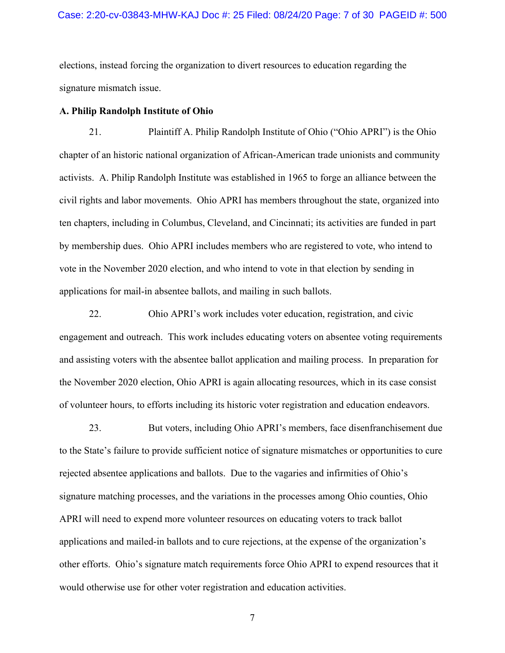elections, instead forcing the organization to divert resources to education regarding the signature mismatch issue.

#### **A. Philip Randolph Institute of Ohio**

21. Plaintiff A. Philip Randolph Institute of Ohio ("Ohio APRI") is the Ohio chapter of an historic national organization of African-American trade unionists and community activists. A. Philip Randolph Institute was established in 1965 to forge an alliance between the civil rights and labor movements. Ohio APRI has members throughout the state, organized into ten chapters, including in Columbus, Cleveland, and Cincinnati; its activities are funded in part by membership dues. Ohio APRI includes members who are registered to vote, who intend to vote in the November 2020 election, and who intend to vote in that election by sending in applications for mail-in absentee ballots, and mailing in such ballots.

22. Ohio APRI's work includes voter education, registration, and civic engagement and outreach. This work includes educating voters on absentee voting requirements and assisting voters with the absentee ballot application and mailing process. In preparation for the November 2020 election, Ohio APRI is again allocating resources, which in its case consist of volunteer hours, to efforts including its historic voter registration and education endeavors.

23. But voters, including Ohio APRI's members, face disenfranchisement due to the State's failure to provide sufficient notice of signature mismatches or opportunities to cure rejected absentee applications and ballots. Due to the vagaries and infirmities of Ohio's signature matching processes, and the variations in the processes among Ohio counties, Ohio APRI will need to expend more volunteer resources on educating voters to track ballot applications and mailed-in ballots and to cure rejections, at the expense of the organization's other efforts. Ohio's signature match requirements force Ohio APRI to expend resources that it would otherwise use for other voter registration and education activities.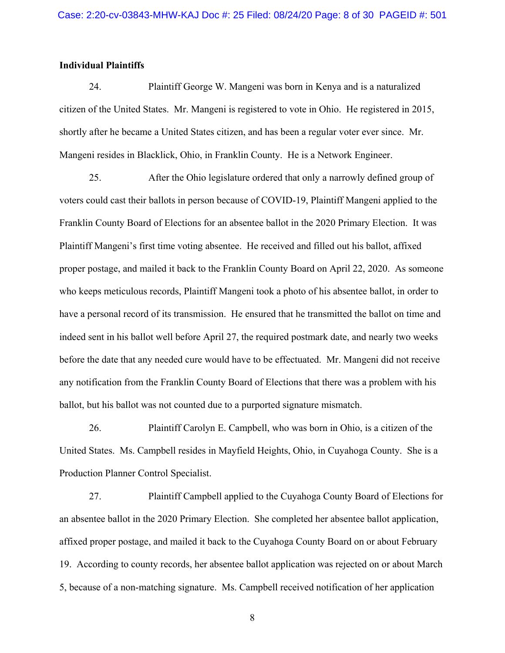## **Individual Plaintiffs**

24. Plaintiff George W. Mangeni was born in Kenya and is a naturalized citizen of the United States. Mr. Mangeni is registered to vote in Ohio. He registered in 2015, shortly after he became a United States citizen, and has been a regular voter ever since. Mr. Mangeni resides in Blacklick, Ohio, in Franklin County. He is a Network Engineer.

25. After the Ohio legislature ordered that only a narrowly defined group of voters could cast their ballots in person because of COVID-19, Plaintiff Mangeni applied to the Franklin County Board of Elections for an absentee ballot in the 2020 Primary Election. It was Plaintiff Mangeni's first time voting absentee. He received and filled out his ballot, affixed proper postage, and mailed it back to the Franklin County Board on April 22, 2020. As someone who keeps meticulous records, Plaintiff Mangeni took a photo of his absentee ballot, in order to have a personal record of its transmission. He ensured that he transmitted the ballot on time and indeed sent in his ballot well before April 27, the required postmark date, and nearly two weeks before the date that any needed cure would have to be effectuated. Mr. Mangeni did not receive any notification from the Franklin County Board of Elections that there was a problem with his ballot, but his ballot was not counted due to a purported signature mismatch.

26. Plaintiff Carolyn E. Campbell, who was born in Ohio, is a citizen of the United States. Ms. Campbell resides in Mayfield Heights, Ohio, in Cuyahoga County. She is a Production Planner Control Specialist.

27. Plaintiff Campbell applied to the Cuyahoga County Board of Elections for an absentee ballot in the 2020 Primary Election. She completed her absentee ballot application, affixed proper postage, and mailed it back to the Cuyahoga County Board on or about February 19. According to county records, her absentee ballot application was rejected on or about March 5, because of a non-matching signature. Ms. Campbell received notification of her application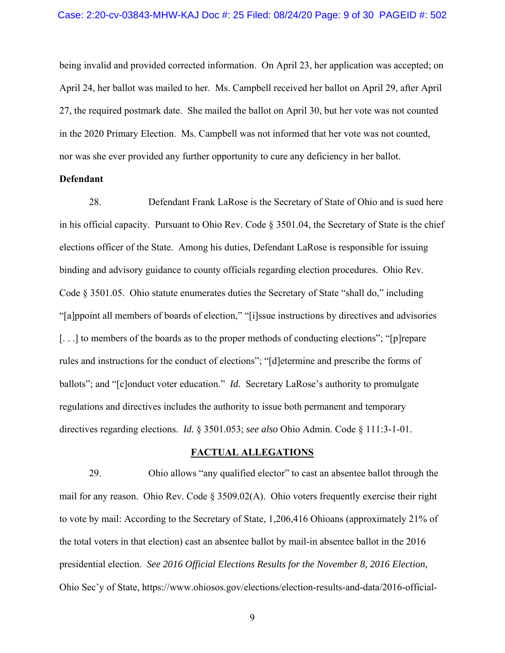being invalid and provided corrected information. On April 23, her application was accepted; on April 24, her ballot was mailed to her. Ms. Campbell received her ballot on April 29, after April 27, the required postmark date. She mailed the ballot on April 30, but her vote was not counted in the 2020 Primary Election. Ms. Campbell was not informed that her vote was not counted, nor was she ever provided any further opportunity to cure any deficiency in her ballot.

## **Defendant**

28. Defendant Frank LaRose is the Secretary of State of Ohio and is sued here in his official capacity. Pursuant to Ohio Rev. Code § 3501.04, the Secretary of State is the chief elections officer of the State. Among his duties, Defendant LaRose is responsible for issuing binding and advisory guidance to county officials regarding election procedures. Ohio Rev. Code § 3501.05. Ohio statute enumerates duties the Secretary of State "shall do," including "[a]ppoint all members of boards of election," "[i]ssue instructions by directives and advisories [...] to members of the boards as to the proper methods of conducting elections"; "[p]repare rules and instructions for the conduct of elections"; "[d]etermine and prescribe the forms of ballots"; and "[c]onduct voter education." *Id.* Secretary LaRose's authority to promulgate regulations and directives includes the authority to issue both permanent and temporary directives regarding elections. *Id.* § 3501.053; *see also* Ohio Admin. Code § 111:3-1-01.

## **FACTUAL ALLEGATIONS**

29. Ohio allows "any qualified elector" to cast an absentee ballot through the mail for any reason. Ohio Rev. Code § 3509.02(A). Ohio voters frequently exercise their right to vote by mail: According to the Secretary of State, 1,206,416 Ohioans (approximately 21% of the total voters in that election) cast an absentee ballot by mail-in absentee ballot in the 2016 presidential election. *See 2016 Official Elections Results for the November 8, 2016 Election*, Ohio Sec'y of State, https://www.ohiosos.gov/elections/election-results-and-data/2016-official-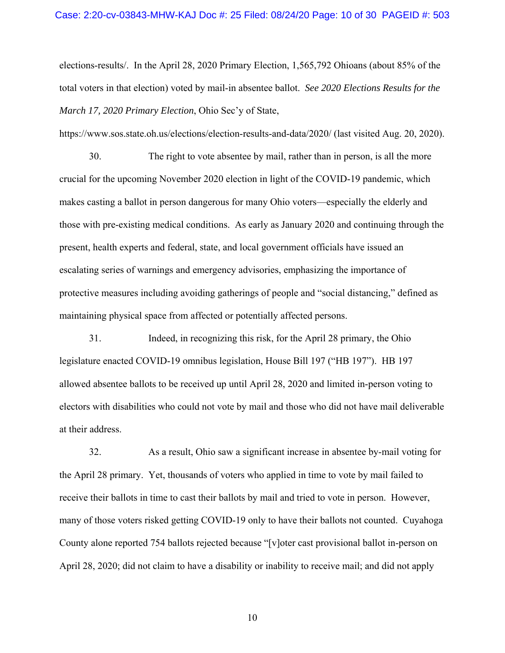elections-results/. In the April 28, 2020 Primary Election, 1,565,792 Ohioans (about 85% of the total voters in that election) voted by mail-in absentee ballot. *See 2020 Elections Results for the March 17, 2020 Primary Election*, Ohio Sec'y of State,

https://www.sos.state.oh.us/elections/election-results-and-data/2020/ (last visited Aug. 20, 2020).

30. The right to vote absentee by mail, rather than in person, is all the more crucial for the upcoming November 2020 election in light of the COVID-19 pandemic, which makes casting a ballot in person dangerous for many Ohio voters—especially the elderly and those with pre-existing medical conditions. As early as January 2020 and continuing through the present, health experts and federal, state, and local government officials have issued an escalating series of warnings and emergency advisories, emphasizing the importance of protective measures including avoiding gatherings of people and "social distancing," defined as maintaining physical space from affected or potentially affected persons.

31. Indeed, in recognizing this risk, for the April 28 primary, the Ohio legislature enacted COVID-19 omnibus legislation, House Bill 197 ("HB 197"). HB 197 allowed absentee ballots to be received up until April 28, 2020 and limited in-person voting to electors with disabilities who could not vote by mail and those who did not have mail deliverable at their address.

32. As a result, Ohio saw a significant increase in absentee by-mail voting for the April 28 primary. Yet, thousands of voters who applied in time to vote by mail failed to receive their ballots in time to cast their ballots by mail and tried to vote in person. However, many of those voters risked getting COVID-19 only to have their ballots not counted. Cuyahoga County alone reported 754 ballots rejected because "[v]oter cast provisional ballot in-person on April 28, 2020; did not claim to have a disability or inability to receive mail; and did not apply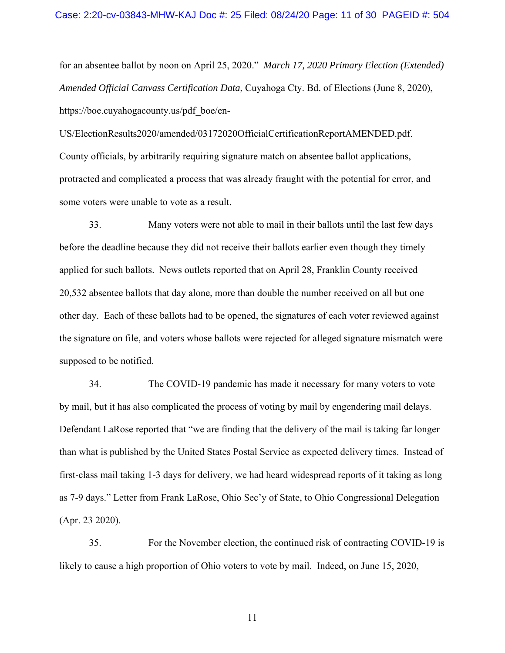for an absentee ballot by noon on April 25, 2020." *March 17, 2020 Primary Election (Extended) Amended Official Canvass Certification Data*, Cuyahoga Cty. Bd. of Elections (June 8, 2020), https://boe.cuyahogacounty.us/pdf\_boe/en-

US/ElectionResults2020/amended/03172020OfficialCertificationReportAMENDED.pdf. County officials, by arbitrarily requiring signature match on absentee ballot applications, protracted and complicated a process that was already fraught with the potential for error, and some voters were unable to vote as a result.

33. Many voters were not able to mail in their ballots until the last few days before the deadline because they did not receive their ballots earlier even though they timely applied for such ballots. News outlets reported that on April 28, Franklin County received 20,532 absentee ballots that day alone, more than double the number received on all but one other day. Each of these ballots had to be opened, the signatures of each voter reviewed against the signature on file, and voters whose ballots were rejected for alleged signature mismatch were supposed to be notified.

34. The COVID-19 pandemic has made it necessary for many voters to vote by mail, but it has also complicated the process of voting by mail by engendering mail delays. Defendant LaRose reported that "we are finding that the delivery of the mail is taking far longer than what is published by the United States Postal Service as expected delivery times. Instead of first-class mail taking 1-3 days for delivery, we had heard widespread reports of it taking as long as 7-9 days." Letter from Frank LaRose, Ohio Sec'y of State, to Ohio Congressional Delegation (Apr. 23 2020).

35. For the November election, the continued risk of contracting COVID-19 is likely to cause a high proportion of Ohio voters to vote by mail. Indeed, on June 15, 2020,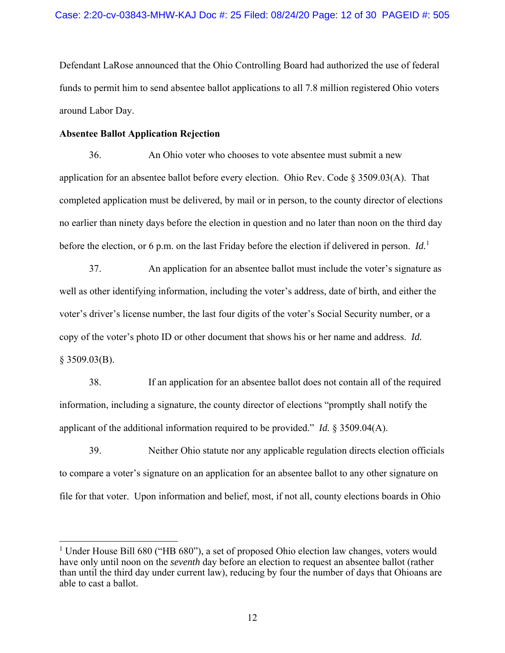Defendant LaRose announced that the Ohio Controlling Board had authorized the use of federal funds to permit him to send absentee ballot applications to all 7.8 million registered Ohio voters around Labor Day.

### **Absentee Ballot Application Rejection**

1

36. An Ohio voter who chooses to vote absentee must submit a new application for an absentee ballot before every election. Ohio Rev. Code § 3509.03(A). That completed application must be delivered, by mail or in person, to the county director of elections no earlier than ninety days before the election in question and no later than noon on the third day before the election, or 6 p.m. on the last Friday before the election if delivered in person. *Id.*<sup>1</sup>

37. An application for an absentee ballot must include the voter's signature as well as other identifying information, including the voter's address, date of birth, and either the voter's driver's license number, the last four digits of the voter's Social Security number, or a copy of the voter's photo ID or other document that shows his or her name and address. *Id.*   $§$  3509.03(B).

38. If an application for an absentee ballot does not contain all of the required information, including a signature, the county director of elections "promptly shall notify the applicant of the additional information required to be provided." *Id.* § 3509.04(A).

39. Neither Ohio statute nor any applicable regulation directs election officials to compare a voter's signature on an application for an absentee ballot to any other signature on file for that voter. Upon information and belief, most, if not all, county elections boards in Ohio

<sup>&</sup>lt;sup>1</sup> Under House Bill 680 ("HB 680"), a set of proposed Ohio election law changes, voters would have only until noon on the *seventh* day before an election to request an absentee ballot (rather than until the third day under current law), reducing by four the number of days that Ohioans are able to cast a ballot.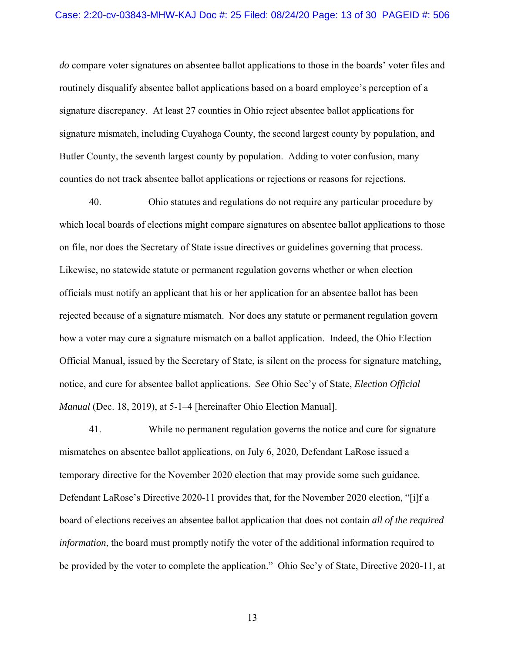*do* compare voter signatures on absentee ballot applications to those in the boards' voter files and routinely disqualify absentee ballot applications based on a board employee's perception of a signature discrepancy. At least 27 counties in Ohio reject absentee ballot applications for signature mismatch, including Cuyahoga County, the second largest county by population, and Butler County, the seventh largest county by population. Adding to voter confusion, many counties do not track absentee ballot applications or rejections or reasons for rejections.

40. Ohio statutes and regulations do not require any particular procedure by which local boards of elections might compare signatures on absentee ballot applications to those on file, nor does the Secretary of State issue directives or guidelines governing that process. Likewise, no statewide statute or permanent regulation governs whether or when election officials must notify an applicant that his or her application for an absentee ballot has been rejected because of a signature mismatch. Nor does any statute or permanent regulation govern how a voter may cure a signature mismatch on a ballot application. Indeed, the Ohio Election Official Manual, issued by the Secretary of State, is silent on the process for signature matching, notice, and cure for absentee ballot applications. *See* Ohio Sec'y of State, *Election Official Manual* (Dec. 18, 2019), at 5-1–4 [hereinafter Ohio Election Manual].

41. While no permanent regulation governs the notice and cure for signature mismatches on absentee ballot applications, on July 6, 2020, Defendant LaRose issued a temporary directive for the November 2020 election that may provide some such guidance. Defendant LaRose's Directive 2020-11 provides that, for the November 2020 election, "[i]f a board of elections receives an absentee ballot application that does not contain *all of the required information*, the board must promptly notify the voter of the additional information required to be provided by the voter to complete the application." Ohio Sec'y of State, Directive 2020-11, at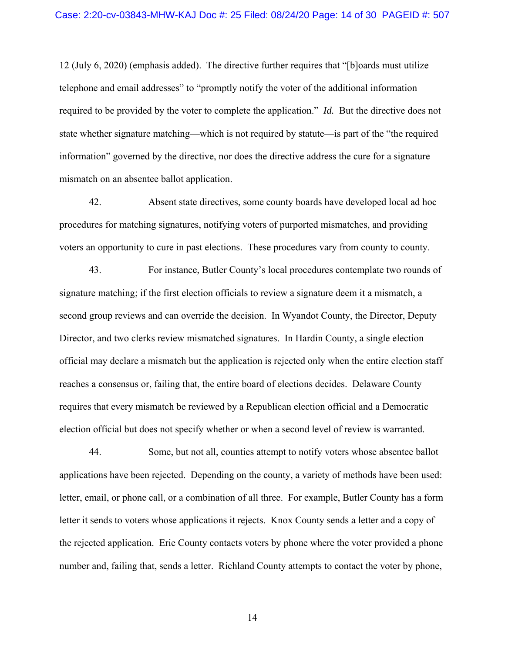12 (July 6, 2020) (emphasis added). The directive further requires that "[b]oards must utilize telephone and email addresses" to "promptly notify the voter of the additional information required to be provided by the voter to complete the application." *Id.* But the directive does not state whether signature matching—which is not required by statute—is part of the "the required information" governed by the directive, nor does the directive address the cure for a signature mismatch on an absentee ballot application.

42. Absent state directives, some county boards have developed local ad hoc procedures for matching signatures, notifying voters of purported mismatches, and providing voters an opportunity to cure in past elections. These procedures vary from county to county.

43. For instance, Butler County's local procedures contemplate two rounds of signature matching; if the first election officials to review a signature deem it a mismatch, a second group reviews and can override the decision. In Wyandot County, the Director, Deputy Director, and two clerks review mismatched signatures. In Hardin County, a single election official may declare a mismatch but the application is rejected only when the entire election staff reaches a consensus or, failing that, the entire board of elections decides. Delaware County requires that every mismatch be reviewed by a Republican election official and a Democratic election official but does not specify whether or when a second level of review is warranted.

44. Some, but not all, counties attempt to notify voters whose absentee ballot applications have been rejected. Depending on the county, a variety of methods have been used: letter, email, or phone call, or a combination of all three. For example, Butler County has a form letter it sends to voters whose applications it rejects. Knox County sends a letter and a copy of the rejected application. Erie County contacts voters by phone where the voter provided a phone number and, failing that, sends a letter. Richland County attempts to contact the voter by phone,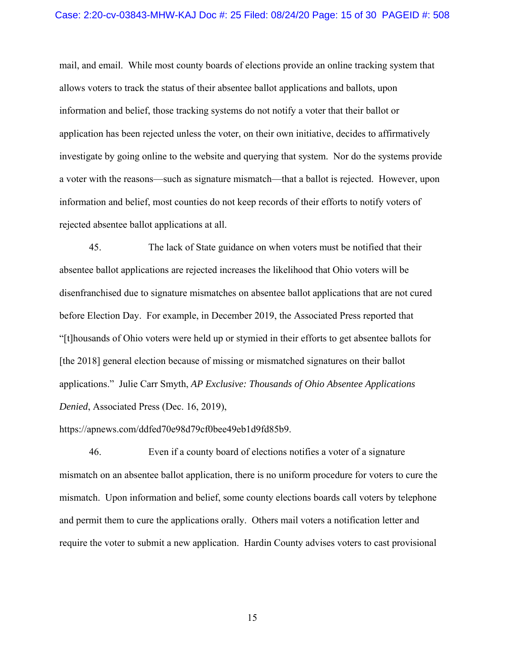#### Case: 2:20-cv-03843-MHW-KAJ Doc #: 25 Filed: 08/24/20 Page: 15 of 30 PAGEID #: 508

mail, and email. While most county boards of elections provide an online tracking system that allows voters to track the status of their absentee ballot applications and ballots, upon information and belief, those tracking systems do not notify a voter that their ballot or application has been rejected unless the voter, on their own initiative, decides to affirmatively investigate by going online to the website and querying that system. Nor do the systems provide a voter with the reasons—such as signature mismatch—that a ballot is rejected. However, upon information and belief, most counties do not keep records of their efforts to notify voters of rejected absentee ballot applications at all.

45. The lack of State guidance on when voters must be notified that their absentee ballot applications are rejected increases the likelihood that Ohio voters will be disenfranchised due to signature mismatches on absentee ballot applications that are not cured before Election Day. For example, in December 2019, the Associated Press reported that "[t]housands of Ohio voters were held up or stymied in their efforts to get absentee ballots for [the 2018] general election because of missing or mismatched signatures on their ballot applications." Julie Carr Smyth, *AP Exclusive: Thousands of Ohio Absentee Applications Denied*, Associated Press (Dec. 16, 2019),

https://apnews.com/ddfed70e98d79cf0bee49eb1d9fd85b9.

46. Even if a county board of elections notifies a voter of a signature mismatch on an absentee ballot application, there is no uniform procedure for voters to cure the mismatch. Upon information and belief, some county elections boards call voters by telephone and permit them to cure the applications orally. Others mail voters a notification letter and require the voter to submit a new application. Hardin County advises voters to cast provisional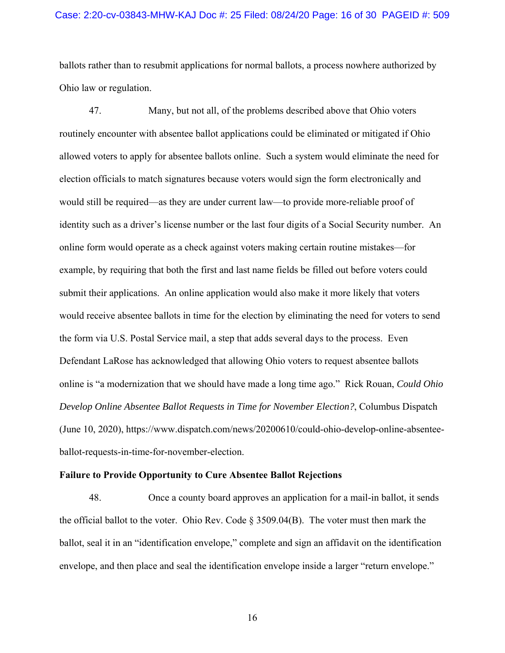#### Case: 2:20-cv-03843-MHW-KAJ Doc #: 25 Filed: 08/24/20 Page: 16 of 30 PAGEID #: 509

ballots rather than to resubmit applications for normal ballots, a process nowhere authorized by Ohio law or regulation.

47. Many, but not all, of the problems described above that Ohio voters routinely encounter with absentee ballot applications could be eliminated or mitigated if Ohio allowed voters to apply for absentee ballots online. Such a system would eliminate the need for election officials to match signatures because voters would sign the form electronically and would still be required—as they are under current law—to provide more-reliable proof of identity such as a driver's license number or the last four digits of a Social Security number. An online form would operate as a check against voters making certain routine mistakes—for example, by requiring that both the first and last name fields be filled out before voters could submit their applications. An online application would also make it more likely that voters would receive absentee ballots in time for the election by eliminating the need for voters to send the form via U.S. Postal Service mail, a step that adds several days to the process. Even Defendant LaRose has acknowledged that allowing Ohio voters to request absentee ballots online is "a modernization that we should have made a long time ago." Rick Rouan, *Could Ohio Develop Online Absentee Ballot Requests in Time for November Election?*, Columbus Dispatch (June 10, 2020), https://www.dispatch.com/news/20200610/could-ohio-develop-online-absenteeballot-requests-in-time-for-november-election.

#### **Failure to Provide Opportunity to Cure Absentee Ballot Rejections**

48. Once a county board approves an application for a mail-in ballot, it sends the official ballot to the voter. Ohio Rev. Code  $\S 3509.04(B)$ . The voter must then mark the ballot, seal it in an "identification envelope," complete and sign an affidavit on the identification envelope, and then place and seal the identification envelope inside a larger "return envelope."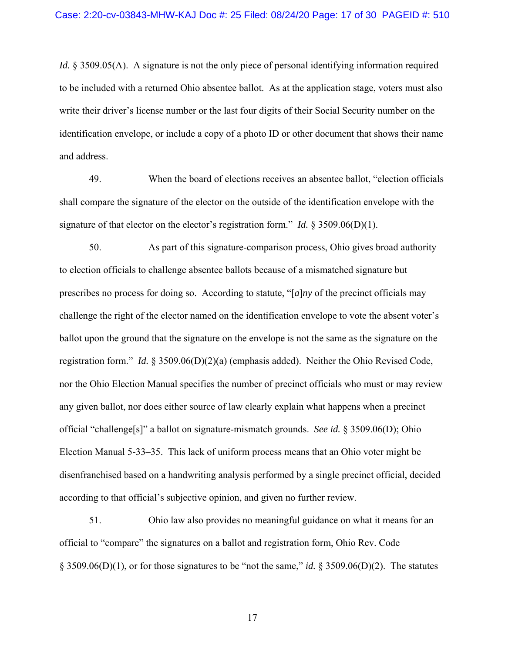*Id.* § 3509.05(A). A signature is not the only piece of personal identifying information required to be included with a returned Ohio absentee ballot. As at the application stage, voters must also write their driver's license number or the last four digits of their Social Security number on the identification envelope, or include a copy of a photo ID or other document that shows their name and address.

49. When the board of elections receives an absentee ballot, "election officials shall compare the signature of the elector on the outside of the identification envelope with the signature of that elector on the elector's registration form." *Id.* § 3509.06(D)(1).

50. As part of this signature-comparison process, Ohio gives broad authority to election officials to challenge absentee ballots because of a mismatched signature but prescribes no process for doing so. According to statute, "[*a*]*ny* of the precinct officials may challenge the right of the elector named on the identification envelope to vote the absent voter's ballot upon the ground that the signature on the envelope is not the same as the signature on the registration form." *Id.* § 3509.06(D)(2)(a) (emphasis added). Neither the Ohio Revised Code, nor the Ohio Election Manual specifies the number of precinct officials who must or may review any given ballot, nor does either source of law clearly explain what happens when a precinct official "challenge[s]" a ballot on signature-mismatch grounds. *See id.* § 3509.06(D); Ohio Election Manual 5-33–35. This lack of uniform process means that an Ohio voter might be disenfranchised based on a handwriting analysis performed by a single precinct official, decided according to that official's subjective opinion, and given no further review.

51. Ohio law also provides no meaningful guidance on what it means for an official to "compare" the signatures on a ballot and registration form, Ohio Rev. Code § 3509.06(D)(1), or for those signatures to be "not the same," *id.* § 3509.06(D)(2). The statutes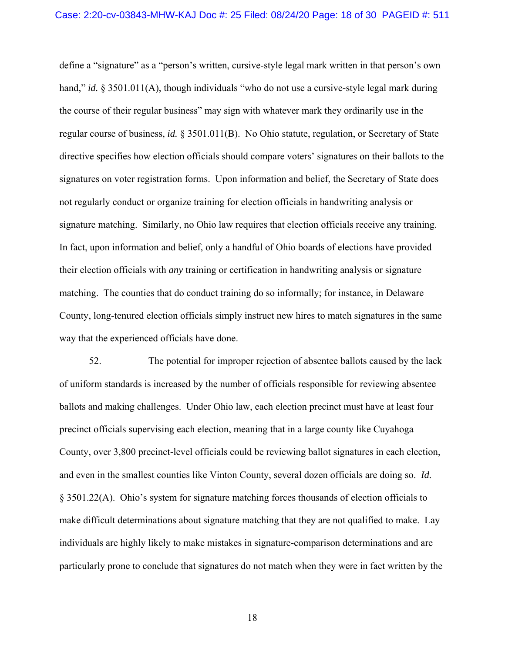define a "signature" as a "person's written, cursive-style legal mark written in that person's own hand," *id.* § 3501.011(A), though individuals "who do not use a cursive-style legal mark during the course of their regular business" may sign with whatever mark they ordinarily use in the regular course of business, *id.* § 3501.011(B). No Ohio statute, regulation, or Secretary of State directive specifies how election officials should compare voters' signatures on their ballots to the signatures on voter registration forms. Upon information and belief, the Secretary of State does not regularly conduct or organize training for election officials in handwriting analysis or signature matching. Similarly, no Ohio law requires that election officials receive any training. In fact, upon information and belief, only a handful of Ohio boards of elections have provided their election officials with *any* training or certification in handwriting analysis or signature matching. The counties that do conduct training do so informally; for instance, in Delaware County, long-tenured election officials simply instruct new hires to match signatures in the same way that the experienced officials have done.

52. The potential for improper rejection of absentee ballots caused by the lack of uniform standards is increased by the number of officials responsible for reviewing absentee ballots and making challenges. Under Ohio law, each election precinct must have at least four precinct officials supervising each election, meaning that in a large county like Cuyahoga County, over 3,800 precinct-level officials could be reviewing ballot signatures in each election, and even in the smallest counties like Vinton County, several dozen officials are doing so. *Id.* § 3501.22(A). Ohio's system for signature matching forces thousands of election officials to make difficult determinations about signature matching that they are not qualified to make. Lay individuals are highly likely to make mistakes in signature-comparison determinations and are particularly prone to conclude that signatures do not match when they were in fact written by the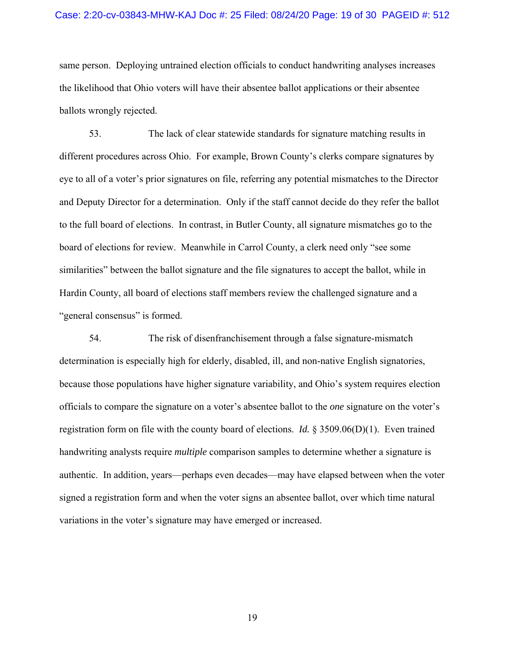#### Case: 2:20-cv-03843-MHW-KAJ Doc #: 25 Filed: 08/24/20 Page: 19 of 30 PAGEID #: 512

same person. Deploying untrained election officials to conduct handwriting analyses increases the likelihood that Ohio voters will have their absentee ballot applications or their absentee ballots wrongly rejected.

53. The lack of clear statewide standards for signature matching results in different procedures across Ohio. For example, Brown County's clerks compare signatures by eye to all of a voter's prior signatures on file, referring any potential mismatches to the Director and Deputy Director for a determination. Only if the staff cannot decide do they refer the ballot to the full board of elections. In contrast, in Butler County, all signature mismatches go to the board of elections for review. Meanwhile in Carrol County, a clerk need only "see some similarities" between the ballot signature and the file signatures to accept the ballot, while in Hardin County, all board of elections staff members review the challenged signature and a "general consensus" is formed.

54. The risk of disenfranchisement through a false signature-mismatch determination is especially high for elderly, disabled, ill, and non-native English signatories, because those populations have higher signature variability, and Ohio's system requires election officials to compare the signature on a voter's absentee ballot to the *one* signature on the voter's registration form on file with the county board of elections. *Id.* § 3509.06(D)(1). Even trained handwriting analysts require *multiple* comparison samples to determine whether a signature is authentic. In addition, years—perhaps even decades—may have elapsed between when the voter signed a registration form and when the voter signs an absentee ballot, over which time natural variations in the voter's signature may have emerged or increased.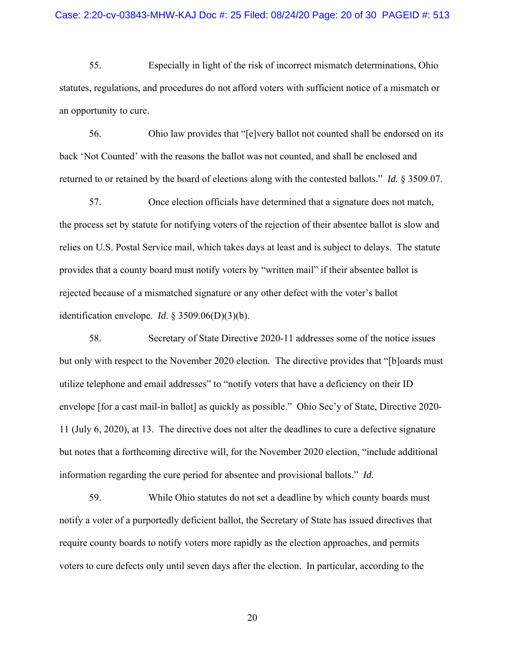55. Especially in light of the risk of incorrect mismatch determinations, Ohio statutes, regulations, and procedures do not afford voters with sufficient notice of a mismatch or an opportunity to cure.

56. Ohio law provides that "[e]very ballot not counted shall be endorsed on its back 'Not Counted' with the reasons the ballot was not counted, and shall be enclosed and returned to or retained by the board of elections along with the contested ballots." *Id.* § 3509.07.

57. Once election officials have determined that a signature does not match, the process set by statute for notifying voters of the rejection of their absentee ballot is slow and relies on U.S. Postal Service mail, which takes days at least and is subject to delays. The statute provides that a county board must notify voters by "written mail" if their absentee ballot is rejected because of a mismatched signature or any other defect with the voter's ballot identification envelope. *Id.* § 3509.06(D)(3)(b).

58. Secretary of State Directive 2020-11 addresses some of the notice issues but only with respect to the November 2020 election. The directive provides that "[b]oards must utilize telephone and email addresses" to "notify voters that have a deficiency on their ID envelope [for a cast mail-in ballot] as quickly as possible." Ohio Sec'y of State, Directive 2020- 11 (July 6, 2020), at 13. The directive does not alter the deadlines to cure a defective signature but notes that a forthcoming directive will, for the November 2020 election, "include additional information regarding the cure period for absentee and provisional ballots." *Id.*

59. While Ohio statutes do not set a deadline by which county boards must notify a voter of a purportedly deficient ballot, the Secretary of State has issued directives that require county boards to notify voters more rapidly as the election approaches, and permits voters to cure defects only until seven days after the election. In particular, according to the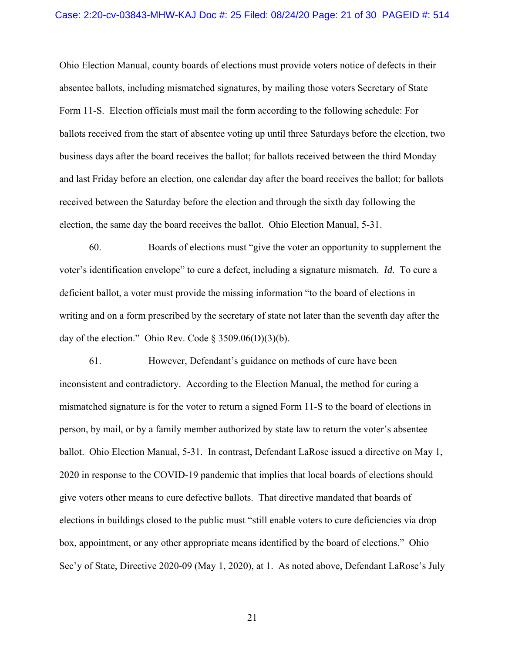Ohio Election Manual, county boards of elections must provide voters notice of defects in their absentee ballots, including mismatched signatures, by mailing those voters Secretary of State Form 11-S. Election officials must mail the form according to the following schedule: For ballots received from the start of absentee voting up until three Saturdays before the election, two business days after the board receives the ballot; for ballots received between the third Monday and last Friday before an election, one calendar day after the board receives the ballot; for ballots received between the Saturday before the election and through the sixth day following the election, the same day the board receives the ballot. Ohio Election Manual, 5-31.

60. Boards of elections must "give the voter an opportunity to supplement the voter's identification envelope" to cure a defect, including a signature mismatch. *Id.* To cure a deficient ballot, a voter must provide the missing information "to the board of elections in writing and on a form prescribed by the secretary of state not later than the seventh day after the day of the election." Ohio Rev. Code  $\S 3509.06(D)(3)(b)$ .

61. However, Defendant's guidance on methods of cure have been inconsistent and contradictory. According to the Election Manual, the method for curing a mismatched signature is for the voter to return a signed Form 11-S to the board of elections in person, by mail, or by a family member authorized by state law to return the voter's absentee ballot. Ohio Election Manual, 5-31. In contrast, Defendant LaRose issued a directive on May 1, 2020 in response to the COVID-19 pandemic that implies that local boards of elections should give voters other means to cure defective ballots. That directive mandated that boards of elections in buildings closed to the public must "still enable voters to cure deficiencies via drop box, appointment, or any other appropriate means identified by the board of elections." Ohio Sec'y of State, Directive 2020-09 (May 1, 2020), at 1. As noted above, Defendant LaRose's July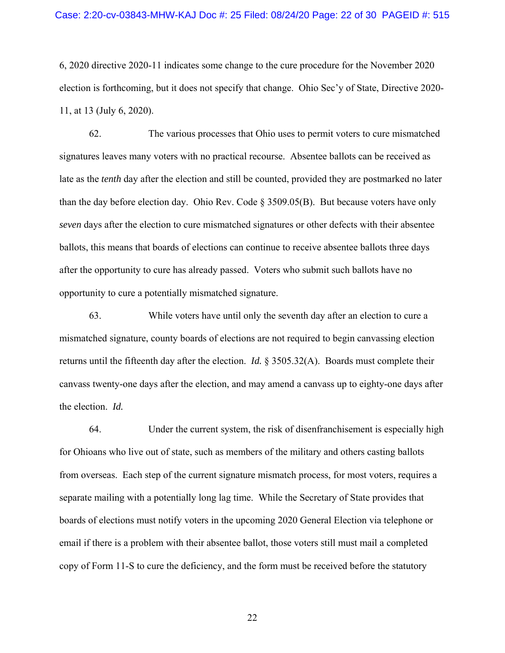6, 2020 directive 2020-11 indicates some change to the cure procedure for the November 2020 election is forthcoming, but it does not specify that change. Ohio Sec'y of State, Directive 2020- 11, at 13 (July 6, 2020).

62. The various processes that Ohio uses to permit voters to cure mismatched signatures leaves many voters with no practical recourse. Absentee ballots can be received as late as the *tenth* day after the election and still be counted, provided they are postmarked no later than the day before election day. Ohio Rev. Code § 3509.05(B). But because voters have only *seven* days after the election to cure mismatched signatures or other defects with their absentee ballots, this means that boards of elections can continue to receive absentee ballots three days after the opportunity to cure has already passed. Voters who submit such ballots have no opportunity to cure a potentially mismatched signature.

63. While voters have until only the seventh day after an election to cure a mismatched signature, county boards of elections are not required to begin canvassing election returns until the fifteenth day after the election. *Id.* § 3505.32(A). Boards must complete their canvass twenty-one days after the election, and may amend a canvass up to eighty-one days after the election. *Id.*

64. Under the current system, the risk of disenfranchisement is especially high for Ohioans who live out of state, such as members of the military and others casting ballots from overseas. Each step of the current signature mismatch process, for most voters, requires a separate mailing with a potentially long lag time. While the Secretary of State provides that boards of elections must notify voters in the upcoming 2020 General Election via telephone or email if there is a problem with their absentee ballot, those voters still must mail a completed copy of Form 11-S to cure the deficiency, and the form must be received before the statutory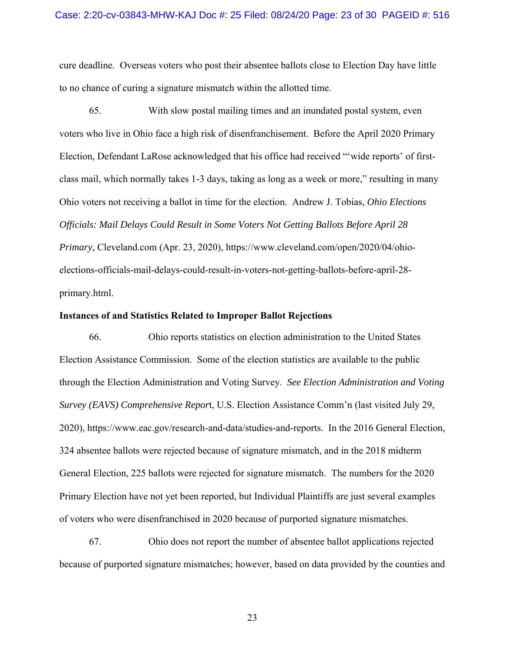cure deadline. Overseas voters who post their absentee ballots close to Election Day have little to no chance of curing a signature mismatch within the allotted time.

65. With slow postal mailing times and an inundated postal system, even voters who live in Ohio face a high risk of disenfranchisement. Before the April 2020 Primary Election, Defendant LaRose acknowledged that his office had received "'wide reports' of firstclass mail, which normally takes 1-3 days, taking as long as a week or more," resulting in many Ohio voters not receiving a ballot in time for the election. Andrew J. Tobias, *Ohio Elections Officials: Mail Delays Could Result in Some Voters Not Getting Ballots Before April 28 Primary*, Cleveland.com (Apr. 23, 2020), https://www.cleveland.com/open/2020/04/ohioelections-officials-mail-delays-could-result-in-voters-not-getting-ballots-before-april-28 primary.html.

#### **Instances of and Statistics Related to Improper Ballot Rejections**

66. Ohio reports statistics on election administration to the United States Election Assistance Commission. Some of the election statistics are available to the public through the Election Administration and Voting Survey. *See Election Administration and Voting Survey (EAVS) Comprehensive Repor*t, U.S. Election Assistance Comm'n (last visited July 29, 2020), https://www.eac.gov/research-and-data/studies-and-reports. In the 2016 General Election, 324 absentee ballots were rejected because of signature mismatch, and in the 2018 midterm General Election, 225 ballots were rejected for signature mismatch. The numbers for the 2020 Primary Election have not yet been reported, but Individual Plaintiffs are just several examples of voters who were disenfranchised in 2020 because of purported signature mismatches.

67. Ohio does not report the number of absentee ballot applications rejected because of purported signature mismatches; however, based on data provided by the counties and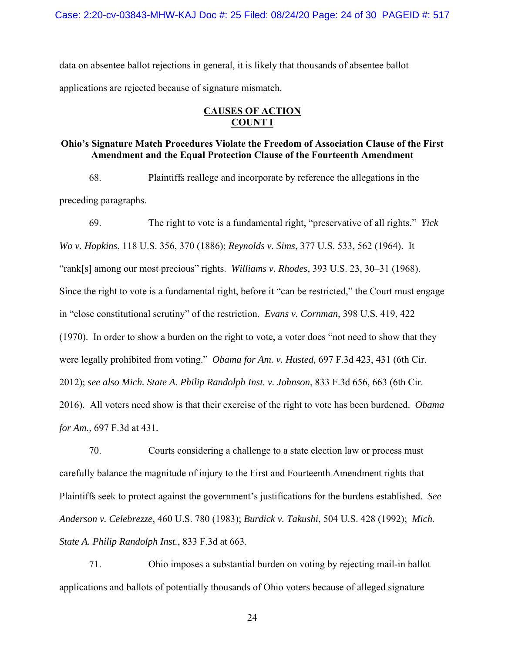Case: 2:20-cv-03843-MHW-KAJ Doc #: 25 Filed: 08/24/20 Page: 24 of 30 PAGEID #: 517

data on absentee ballot rejections in general, it is likely that thousands of absentee ballot applications are rejected because of signature mismatch.

## **CAUSES OF ACTION COUNT I**

## **Ohio's Signature Match Procedures Violate the Freedom of Association Clause of the First Amendment and the Equal Protection Clause of the Fourteenth Amendment**

68. Plaintiffs reallege and incorporate by reference the allegations in the preceding paragraphs.

69. The right to vote is a fundamental right, "preservative of all rights." *Yick Wo v. Hopkins*, 118 U.S. 356, 370 (1886); *Reynolds v. Sims*, 377 U.S. 533, 562 (1964). It "rank[s] among our most precious" rights. *Williams v. Rhodes*, 393 U.S. 23, 30–31 (1968). Since the right to vote is a fundamental right, before it "can be restricted," the Court must engage in "close constitutional scrutiny" of the restriction. *Evans v. Cornman*, 398 U.S. 419, 422 (1970). In order to show a burden on the right to vote, a voter does "not need to show that they were legally prohibited from voting." *Obama for Am. v. Husted,* 697 F.3d 423, 431 (6th Cir. 2012); *see also Mich. State A. Philip Randolph Inst. v. Johnson*, 833 F.3d 656, 663 (6th Cir. 2016)*.* All voters need show is that their exercise of the right to vote has been burdened. *Obama for Am.*, 697 F.3d at 431*.*

70. Courts considering a challenge to a state election law or process must carefully balance the magnitude of injury to the First and Fourteenth Amendment rights that Plaintiffs seek to protect against the government's justifications for the burdens established. *See Anderson v. Celebrezze*, 460 U.S. 780 (1983); *Burdick v. Takushi*, 504 U.S. 428 (1992); *Mich. State A. Philip Randolph Inst.*, 833 F.3d at 663.

71. Ohio imposes a substantial burden on voting by rejecting mail-in ballot applications and ballots of potentially thousands of Ohio voters because of alleged signature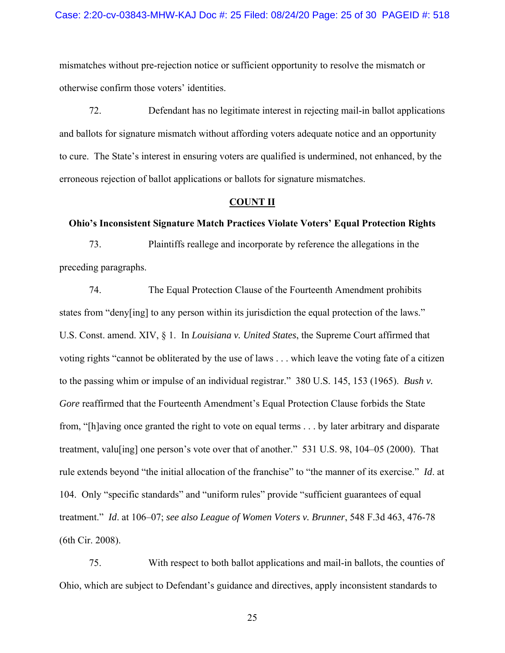mismatches without pre-rejection notice or sufficient opportunity to resolve the mismatch or otherwise confirm those voters' identities.

72. Defendant has no legitimate interest in rejecting mail-in ballot applications and ballots for signature mismatch without affording voters adequate notice and an opportunity to cure. The State's interest in ensuring voters are qualified is undermined, not enhanced, by the erroneous rejection of ballot applications or ballots for signature mismatches.

#### **COUNT II**

## **Ohio's Inconsistent Signature Match Practices Violate Voters' Equal Protection Rights**

73. Plaintiffs reallege and incorporate by reference the allegations in the preceding paragraphs.

74. The Equal Protection Clause of the Fourteenth Amendment prohibits states from "deny[ing] to any person within its jurisdiction the equal protection of the laws." U.S. Const. amend. XIV, § 1. In *Louisiana v. United States*, the Supreme Court affirmed that voting rights "cannot be obliterated by the use of laws . . . which leave the voting fate of a citizen to the passing whim or impulse of an individual registrar." 380 U.S. 145, 153 (1965). *Bush v. Gore* reaffirmed that the Fourteenth Amendment's Equal Protection Clause forbids the State from, "[h]aving once granted the right to vote on equal terms . . . by later arbitrary and disparate treatment, valu[ing] one person's vote over that of another." 531 U.S. 98, 104–05 (2000). That rule extends beyond "the initial allocation of the franchise" to "the manner of its exercise." *Id*. at 104. Only "specific standards" and "uniform rules" provide "sufficient guarantees of equal treatment." *Id*. at 106–07; *see also League of Women Voters v. Brunner*, 548 F.3d 463, 476-78 (6th Cir. 2008).

75. With respect to both ballot applications and mail-in ballots, the counties of Ohio, which are subject to Defendant's guidance and directives, apply inconsistent standards to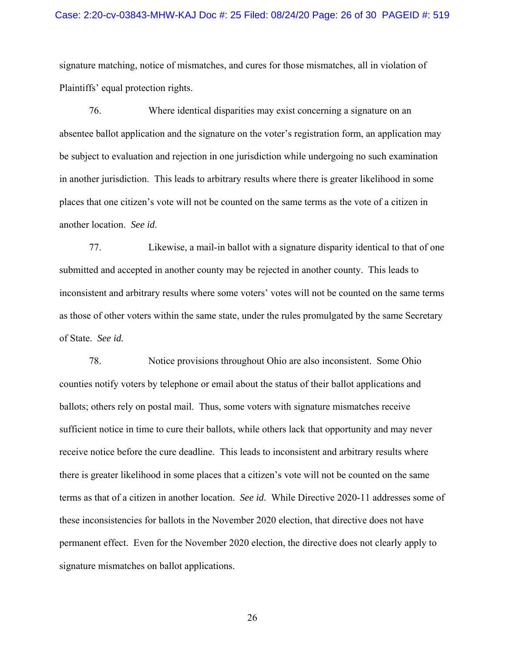#### Case: 2:20-cv-03843-MHW-KAJ Doc #: 25 Filed: 08/24/20 Page: 26 of 30 PAGEID #: 519

signature matching, notice of mismatches, and cures for those mismatches, all in violation of Plaintiffs' equal protection rights.

76. Where identical disparities may exist concerning a signature on an absentee ballot application and the signature on the voter's registration form, an application may be subject to evaluation and rejection in one jurisdiction while undergoing no such examination in another jurisdiction. This leads to arbitrary results where there is greater likelihood in some places that one citizen's vote will not be counted on the same terms as the vote of a citizen in another location. *See id*.

77. Likewise, a mail-in ballot with a signature disparity identical to that of one submitted and accepted in another county may be rejected in another county. This leads to inconsistent and arbitrary results where some voters' votes will not be counted on the same terms as those of other voters within the same state, under the rules promulgated by the same Secretary of State. *See id.*

78. Notice provisions throughout Ohio are also inconsistent. Some Ohio counties notify voters by telephone or email about the status of their ballot applications and ballots; others rely on postal mail. Thus, some voters with signature mismatches receive sufficient notice in time to cure their ballots, while others lack that opportunity and may never receive notice before the cure deadline. This leads to inconsistent and arbitrary results where there is greater likelihood in some places that a citizen's vote will not be counted on the same terms as that of a citizen in another location. *See id*. While Directive 2020-11 addresses some of these inconsistencies for ballots in the November 2020 election, that directive does not have permanent effect. Even for the November 2020 election, the directive does not clearly apply to signature mismatches on ballot applications.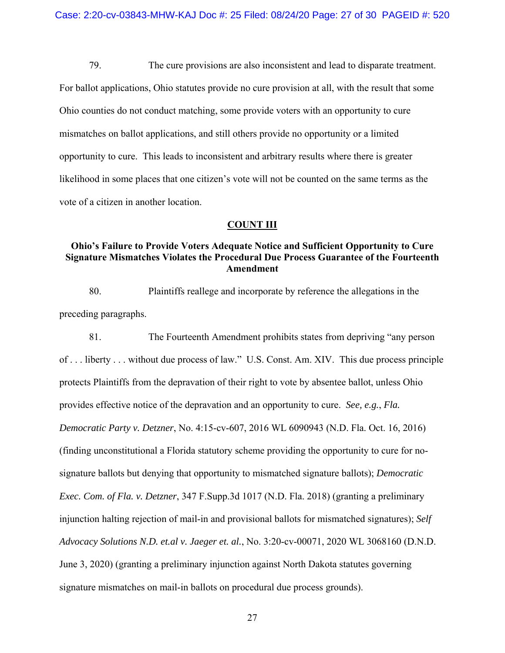79. The cure provisions are also inconsistent and lead to disparate treatment. For ballot applications, Ohio statutes provide no cure provision at all, with the result that some Ohio counties do not conduct matching, some provide voters with an opportunity to cure mismatches on ballot applications, and still others provide no opportunity or a limited opportunity to cure. This leads to inconsistent and arbitrary results where there is greater likelihood in some places that one citizen's vote will not be counted on the same terms as the vote of a citizen in another location.

## **COUNT III**

# **Ohio's Failure to Provide Voters Adequate Notice and Sufficient Opportunity to Cure Signature Mismatches Violates the Procedural Due Process Guarantee of the Fourteenth Amendment**

80. Plaintiffs reallege and incorporate by reference the allegations in the preceding paragraphs.

81. The Fourteenth Amendment prohibits states from depriving "any person of . . . liberty . . . without due process of law." U.S. Const. Am. XIV. This due process principle protects Plaintiffs from the depravation of their right to vote by absentee ballot, unless Ohio provides effective notice of the depravation and an opportunity to cure. *See, e.g.*, *Fla. Democratic Party v. Detzner*, No. 4:15-cv-607, 2016 WL 6090943 (N.D. Fla. Oct. 16, 2016) (finding unconstitutional a Florida statutory scheme providing the opportunity to cure for nosignature ballots but denying that opportunity to mismatched signature ballots); *Democratic Exec. Com. of Fla. v. Detzner*, 347 F.Supp.3d 1017 (N.D. Fla. 2018) (granting a preliminary injunction halting rejection of mail-in and provisional ballots for mismatched signatures); *Self Advocacy Solutions N.D. et.al v. Jaeger et. al.*, No. 3:20-cv-00071, 2020 WL 3068160 (D.N.D. June 3, 2020) (granting a preliminary injunction against North Dakota statutes governing signature mismatches on mail-in ballots on procedural due process grounds).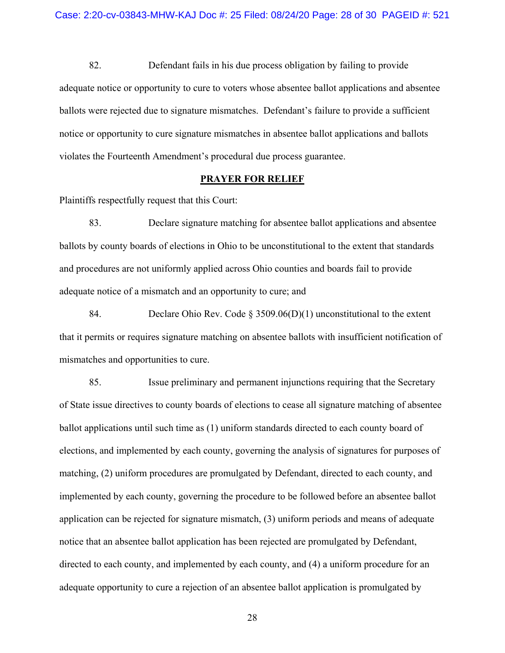82. Defendant fails in his due process obligation by failing to provide adequate notice or opportunity to cure to voters whose absentee ballot applications and absentee ballots were rejected due to signature mismatches. Defendant's failure to provide a sufficient notice or opportunity to cure signature mismatches in absentee ballot applications and ballots violates the Fourteenth Amendment's procedural due process guarantee.

## **PRAYER FOR RELIEF**

Plaintiffs respectfully request that this Court:

83. Declare signature matching for absentee ballot applications and absentee ballots by county boards of elections in Ohio to be unconstitutional to the extent that standards and procedures are not uniformly applied across Ohio counties and boards fail to provide adequate notice of a mismatch and an opportunity to cure; and

84. Declare Ohio Rev. Code § 3509.06(D)(1) unconstitutional to the extent that it permits or requires signature matching on absentee ballots with insufficient notification of mismatches and opportunities to cure.

85. Issue preliminary and permanent injunctions requiring that the Secretary of State issue directives to county boards of elections to cease all signature matching of absentee ballot applications until such time as (1) uniform standards directed to each county board of elections, and implemented by each county, governing the analysis of signatures for purposes of matching, (2) uniform procedures are promulgated by Defendant, directed to each county, and implemented by each county, governing the procedure to be followed before an absentee ballot application can be rejected for signature mismatch, (3) uniform periods and means of adequate notice that an absentee ballot application has been rejected are promulgated by Defendant, directed to each county, and implemented by each county, and (4) a uniform procedure for an adequate opportunity to cure a rejection of an absentee ballot application is promulgated by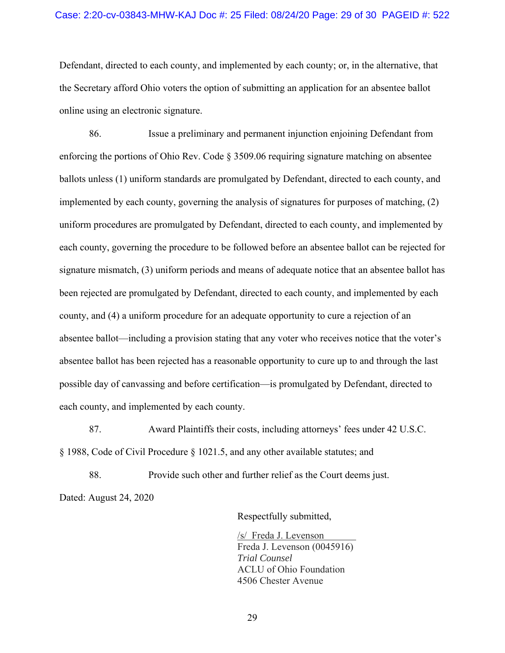### Case: 2:20-cv-03843-MHW-KAJ Doc #: 25 Filed: 08/24/20 Page: 29 of 30 PAGEID #: 522

Defendant, directed to each county, and implemented by each county; or, in the alternative, that the Secretary afford Ohio voters the option of submitting an application for an absentee ballot online using an electronic signature.

86. Issue a preliminary and permanent injunction enjoining Defendant from enforcing the portions of Ohio Rev. Code § 3509.06 requiring signature matching on absentee ballots unless (1) uniform standards are promulgated by Defendant, directed to each county, and implemented by each county, governing the analysis of signatures for purposes of matching, (2) uniform procedures are promulgated by Defendant, directed to each county, and implemented by each county, governing the procedure to be followed before an absentee ballot can be rejected for signature mismatch, (3) uniform periods and means of adequate notice that an absentee ballot has been rejected are promulgated by Defendant, directed to each county, and implemented by each county, and (4) a uniform procedure for an adequate opportunity to cure a rejection of an absentee ballot—including a provision stating that any voter who receives notice that the voter's absentee ballot has been rejected has a reasonable opportunity to cure up to and through the last possible day of canvassing and before certification—is promulgated by Defendant, directed to each county, and implemented by each county.

87. Award Plaintiffs their costs, including attorneys' fees under 42 U.S.C. § 1988, Code of Civil Procedure § 1021.5, and any other available statutes; and

88. Provide such other and further relief as the Court deems just. Dated: August 24, 2020

Respectfully submitted,

/s/ Freda J. Levenson Freda J. Levenson (0045916) *Trial Counsel* ACLU of Ohio Foundation 4506 Chester Avenue